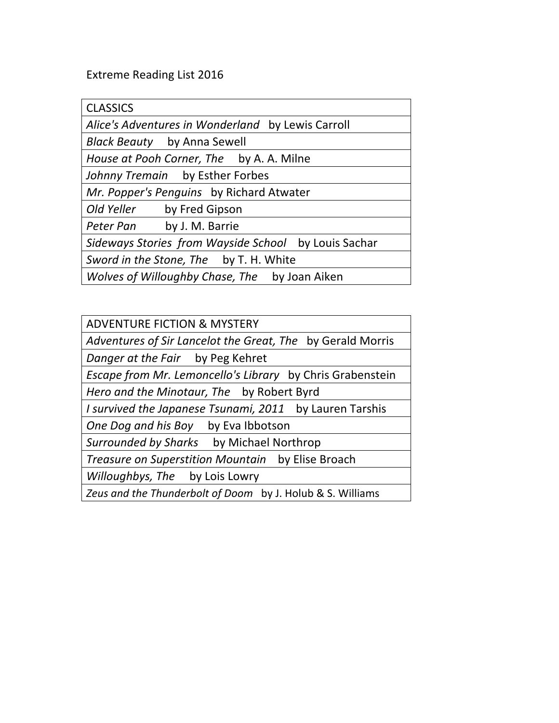## Extreme Reading List 2016

| <b>CLASSICS</b>                                      |
|------------------------------------------------------|
| Alice's Adventures in Wonderland by Lewis Carroll    |
| <b>Black Beauty</b> by Anna Sewell                   |
| House at Pooh Corner, The by A. A. Milne             |
| Johnny Tremain by Esther Forbes                      |
| Mr. Popper's Penguins by Richard Atwater             |
| Old Yeller<br>by Fred Gipson                         |
| Peter Pan by J. M. Barrie                            |
| Sideways Stories from Wayside School by Louis Sachar |
| Sword in the Stone, The by T. H. White               |
| Wolves of Willoughby Chase, The by Joan Aiken        |

| <b>ADVENTURE FICTION &amp; MYSTERY</b>                     |
|------------------------------------------------------------|
| Adventures of Sir Lancelot the Great, The by Gerald Morris |
| Danger at the Fair by Peg Kehret                           |
| Escape from Mr. Lemoncello's Library by Chris Grabenstein  |
| Hero and the Minotaur, The by Robert Byrd                  |
| I survived the Japanese Tsunami, 2011 by Lauren Tarshis    |
| One Dog and his Boy by Eva Ibbotson                        |
| Surrounded by Sharks by Michael Northrop                   |
| Treasure on Superstition Mountain by Elise Broach          |
| Willoughbys, The by Lois Lowry                             |
| Zeus and the Thunderbolt of Doom by J. Holub & S. Williams |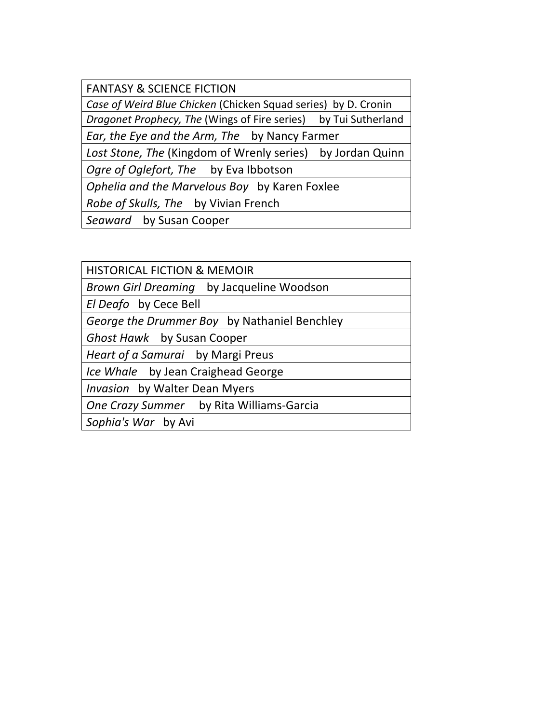**FANTASY & SCIENCE FICTION** 

*Case of Weird Blue Chicken* (Chicken Squad series) by D. Cronin

*Dragonet Prophecy, The* (Wings of Fire series) by Tui Sutherland

*Ear, the Eye and the Arm, The* by Nancy Farmer

Lost Stone, The (Kingdom of Wrenly series) by Jordan Quinn

Ogre of Oglefort, The by Eva Ibbotson

**Ophelia and the Marvelous Boy** by Karen Foxlee

*Robe of Skulls, The* by Vivian French

**Seaward** by Susan Cooper

HISTORICAL FICTION & MEMOIR

*Brown Girl Dreaming* by Jacqueline Woodson

*El Deafo* by Cece Bell

*George the Drummer Boy* by Nathaniel Benchley

*Ghost Hawk* by Susan Cooper

*Heart of a Samurai* by Margi Preus

*Ice* Whale by Jean Craighead George

*Invasion* by Walter Dean Myers

**One Crazy Summer** by Rita Williams-Garcia

*Sophia's War* by Avi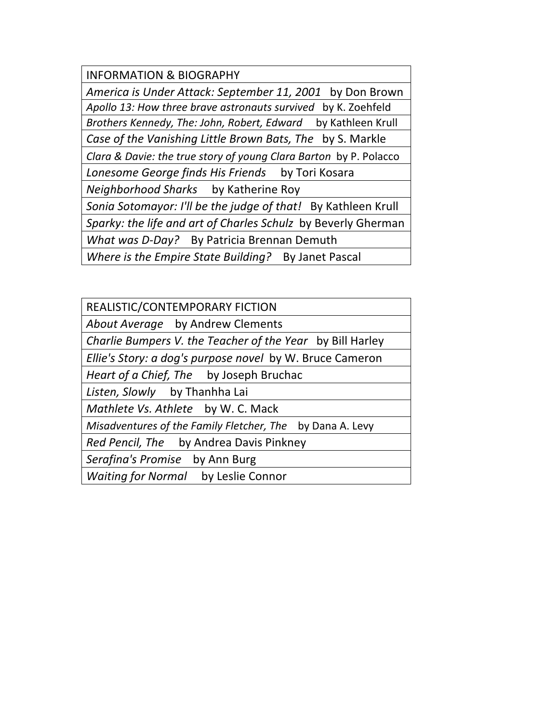INFORMATION & BIOGRAPHY *America is Under Attack: September 11, 2001* by Don Brown Apollo 13: How three brave astronauts survived by K. Zoehfeld *Brothers Kennedy, The: John, Robert, Edward* by Kathleen Krull *Case of the Vanishing Little Brown Bats, The* by S. Markle *Clara & Davie: the true story of young Clara Barton* by P. Polacco Lonesome George finds His Friends by Tori Kosara *Neighborhood Sharks* by Katherine Roy Sonia Sotomayor: I'll be the judge of that! By Kathleen Krull Sparky: the life and art of Charles Schulz by Beverly Gherman *What was D-Day?* By Patricia Brennan Demuth *Where is the Empire State Building?* By Janet Pascal

| REALISTIC/CONTEMPORARY FICTION                            |
|-----------------------------------------------------------|
| About Average by Andrew Clements                          |
| Charlie Bumpers V. the Teacher of the Year by Bill Harley |
| Ellie's Story: a dog's purpose novel by W. Bruce Cameron  |
| Heart of a Chief, The by Joseph Bruchac                   |
| Listen, Slowly by Thanhha Lai                             |
| Mathlete Vs. Athlete by W. C. Mack                        |
| Misadventures of the Family Fletcher, The by Dana A. Levy |
| Red Pencil, The by Andrea Davis Pinkney                   |
| Serafina's Promise by Ann Burg                            |
| Waiting for Normal by Leslie Connor                       |